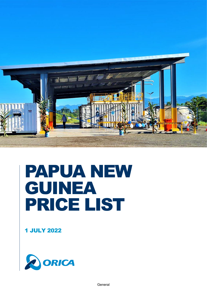

# PAPUA NEW GUINEA PRICE LIST

1 JULY 2022

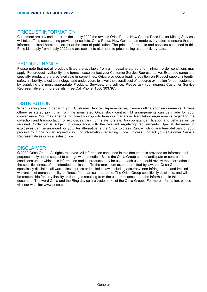## PRICELIST INFORMATION

Customers are advised that from the 1 July 2022 the revised Orica Papua New Guinea Price List for Mining Services will take effect, superseding previous price lists. Orica Papua New Guinea has made every effort to ensure that the information listed herein is correct at the time of publication. The prices of products and services contained in this Price List apply from 1 July 2022 and are subject to alteration to prices ruling at the delivery date.

## PRODUCT RANGE

Please note that not all products listed are available from all magazine stores and minimum order conditions may apply. For product availability, and terms please contact your Customer Service Representative. Extended range and specialty products are also available in some lines. Orica provides a leading position on Product supply, integrity, safety, reliability, latest technology, and endeavours to lower the overall cost of resource extraction for our customers by supplying the most appropriate Products, Services, and advice. Please ask your nearest Customer Service Representative for more details. Free Call Phone: 1300 303797.

## **DISTRIBUTION**

When placing your order with your Customer Service Representative, please outline your requirements. Unless otherwise stated pricing is from the nominated Orica stock centre. FIS arrangements can be made for your convenience. You may arrange to collect your goods from our magazine. Regulatory requirements regarding the collection and transportation of explosives vary from state to state. Appropriate identification and vehicles will be required. Collection is subject to compliance with the relevant regulatory requirements. Special deliveries of explosives can be arranged for you. An alternative is the Orica Express Run, which guarantees delivery of your product by Orica on an agreed day. For information regarding Orica Express, contact your Customer Service Representatives or local sales office.

#### **DISCLAIMER**

© 2022 Orica Group. All rights reserved. All information contained in this document is provided for informational purposes only and is subject to change without notice. Since the Orica Group cannot anticipate or control the conditions under which this information and its products may be used, each user should review the information in the specific context of the intended application. To the maximum extent permitted by law, the Orica Group specifically disclaims all warranties express or implied in law, including accuracy, non-infringement, and implied warranties of merchantability or fitness for a particular purpose. The Orica Group specifically disclaims, and will not be responsible for, any liability or damages resulting from the use or reliance upon the information in this document. The word Orica and the Ring device are trademarks of the Orica Group. For more information, please visit our website: www.orica.com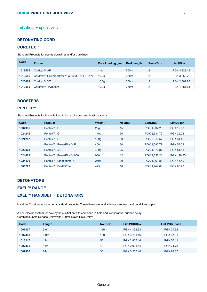# Initiating Explosives

## **DETONATING CORD**

#### **CORDTEX™**

Standard Products for use as downlines and/or trunklines

| Code    | <b>Product</b>                           | Core Loading g/m  | <b>Reel Lenath</b> | <b>Reels/Box</b> | List\$/Box   |
|---------|------------------------------------------|-------------------|--------------------|------------------|--------------|
| 1018476 | Cordtex <sup>™</sup> AP                  | 4.3q              | 500 <sub>m</sub>   |                  | PGK 3,923.49 |
| 1019586 | Cordtex™;Powersplit;10P;2X350M;EXPORT;IN | 10.0 <sub>q</sub> | 350 <sub>m</sub>   |                  | PGK 3,258.22 |
| 1020468 | Cordtex <sup>™</sup> XTL                 | 10.0 <sub>a</sub> | 300 <sub>m</sub>   | 2                | PGK 2,862.83 |
| 1019585 | Cordtex <sup>™</sup> Pyrocord            | 10.0 <sub>q</sub> | 350 <sub>m</sub>   |                  | PGK 4,881.61 |

## **BOOSTERS**

#### **PENTEX™**

Standard Products for the initiation of high explosives and blasting agents.

| Code    | <b>Product</b>                  | Weight           | No./Box | List\$/Box   | List\$/Each      |
|---------|---------------------------------|------------------|---------|--------------|------------------|
| 1004335 | Pentex <sup>™</sup> D           | 25q              | 150     | PGK 1,932.26 | <b>PGK 12.88</b> |
| 1024246 | Pentex <sup>™</sup> G           | 110q             | 90      | PGK 2.634.79 | <b>PGK 29.28</b> |
| 1024257 | Pentex <sup>™</sup> H           | 150 <sub>a</sub> | 80      | PGK 2.516.57 | PGK 31.46        |
|         | Pentex™ PowerPlus™ P            | 400q             | 30      | PGK 1.592.77 | PGK 53.09        |
| 1020321 | Pentex <sup>™</sup> G L         | 400q             | 25      | PGK 1,370.87 | <b>PGK 54.83</b> |
| 1024428 | Pentex™ PowerPlus™ 900          | 900 <sub>q</sub> | 12      | PGK 1.552.21 | PGK 129.35       |
| 1024430 | Pentex <sup>™</sup> Stopeprime™ | 250q             | 30      | PGK 1.361.88 | <b>PGK 45.40</b> |
| 1006272 | Pentex™ ProTECT-e               | 425q             | 18      | PGK 1.444.06 | <b>PGK 80.23</b> |

## **DETONATORS**

## **EXEL™ RANGE**

#### **EXEL™ HANDIDET™ DETONATORS**

Handidet™ detonators are non standard products. These items are available upon request and conditions apply.

A non-electric system for hole by hole initiation with combined in-hole and low shrapnel surface delay. Combines 25ms Surface Delay with 400ms Down Hole Delay.

| Code               | Length                 | No./Box  | <b>List PGK/Box</b>          | List PGK /Each                |
|--------------------|------------------------|----------|------------------------------|-------------------------------|
| 1007807            | 3.6 <sub>m</sub>       | 150      | PGK 4,158.63                 | <b>PGK 27.72</b>              |
| 1007808            | 6.0 <sub>m</sub>       | 100      | PGK 3,761.16                 | PGK 37.61                     |
|                    |                        |          |                              |                               |
|                    |                        |          |                              |                               |
| 1007806            | 24m                    | 35       | PGK 3,250.40                 | <b>PGK 92.87</b>              |
| 1013217<br>1007805 | 12 <sub>m</sub><br>18m | 50<br>40 | PGK 2,805.46<br>PGK 2.991.54 | PGK 56.11<br><b>PGK 74.79</b> |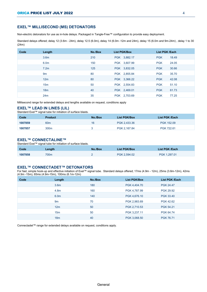#### **EXEL™ MILLISECOND (MS) DETONATORS**

Non-electric detonators for use as in-hole delays. Packaged in Tangle-Free™ configuration to provide easy deployment.

Standard delays offered; delay 12 (3.6m - 24m), delay 12.5 (6.0m), delay 14 (6.0m -12m and 24m), delay 15 (6.0m and 9m-24m) , delay 1 to 30 (24m)

| Code | Length           | No./Box | <b>List PGK/Box</b> | <b>List PGK /Each</b> |
|------|------------------|---------|---------------------|-----------------------|
|      | 3.6 <sub>m</sub> | 210     | PGK 3,882.17        | 18.49<br><b>PGK</b>   |
|      | 6.0 <sub>m</sub> | 150     | PGK 3,607.99        | <b>PGK</b><br>24.05   |
|      | 7.2 <sub>m</sub> | 125     | PGK 3,832.05        | <b>PGK</b><br>30.66   |
|      | 9m               | 80      | PGK 2,855.84        | <b>PGK</b><br>35.70   |
|      | 12m              | 80      | PGK 3,366.22        | <b>PGK</b><br>42.08   |
|      | 15 <sub>m</sub>  | 50      | PGK 2,554.83        | <b>PGK</b><br>51.10   |
|      | 18 <sub>m</sub>  | 40      | PGK 2,469.01        | <b>PGK</b><br>61.73   |
|      | 24m              | 35      | PGK 2,703.69        | <b>PGK</b><br>77.25   |

Millisecond range for extended delays and lengths available on request, conditions apply

#### **EXEL™ LEAD IN LINES (LIL)**

Standard Exel™ signal tube for initiation of surface blasts.

| Code    | <b>Product</b>  | No./Box | <b>List PGK/Box</b> | List PGK /Each |
|---------|-----------------|---------|---------------------|----------------|
| 1007859 | 60 <sub>m</sub> | 16      | PGK 2.433.36        | PGK 152.09     |
| 1007857 | 300m            |         | PGK 2.167.84        | PGK 722.61     |

#### **EXEL™ CONNECTALINE™**

Standard Exel™ signal tube for initiation of surface blasts.

| Code    | Length | No./Box | <b>List PGK/Box</b> | List PGK /Each |
|---------|--------|---------|---------------------|----------------|
| 1007858 | 700m   |         | PGK 2.594.02        | PGK 1.297.01   |

#### **EXEL™ CONNECTADET™ DETONATORS**

For fast, simple hook-up and effective initiation of Exel™ signal tube. Standard delays offered; 17ms (4.9m - 12m), 25ms (3.6m-12m), 42ms (4.9m -15m), 65ms (4.9m-15m), 100ms (6.1m-12m)

| Code | Length           | No./Box | <b>List PGK/Box</b> | <b>List PGK /Each</b> |
|------|------------------|---------|---------------------|-----------------------|
|      | 3.6 <sub>m</sub> | 180     | PGK 4,404.70        | <b>PGK 24.47</b>      |
|      | 4.8m             | 160     | PGK 4,787.99        | <b>PGK 29.92</b>      |
|      | 6.0 <sub>m</sub> | 140     | PGK 4,676.10        | PGK 33.40             |
|      | 9 <sub>m</sub>   | 70      | PGK 2,983.69        | <b>PGK 42.62</b>      |
|      | 12m              | 50      | PGK 2,710.53        | PGK 54.21             |
|      | 15 <sub>m</sub>  | 50      | PGK 3,237.11        | PGK 64.74             |
|      | 18 <sub>m</sub>  | 40      | PGK 3,068.50        | <b>PGK 76.71</b>      |

Connectadet™ range for extended delays available on request, conditions apply.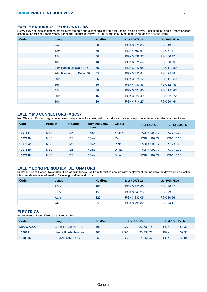#### **EXEL™ ENDURADET™ DETONATORS**

Heavy duty non-electric detonators for extra strength and extended sleep time for use as in-hole delays. Packaged in Tangle-Free™ or spool configuration for easy deployment. Standard Product in Delays 15 (9m-36m), 15.5 (12m, 15m, 24m), delays 1 to 30 (24m)

| Code | Length                   | No./Box | <b>List PGK/Box</b> | <b>List PGK /Each</b> |
|------|--------------------------|---------|---------------------|-----------------------|
|      | 9m                       | 80      | PGK 3,979.89        | <b>PGK 49.75</b>      |
|      | 12m                      | 80      | PGK 4,597.61        | <b>PGK 57.47</b>      |
|      | 15 <sub>m</sub>          | 50      | PGK 3,338.37        | PGK 66.77             |
|      | 18 <sub>m</sub>          | 40      | PGK 3,071.54        | <b>PGK 76.79</b>      |
|      | 24m Range Delays 31-36   | 35      | PGK 3,940.65        | PGK 112.59            |
|      | 24m Range up to Delay 30 | 35      | PGK 3,355.84        | <b>PGK 95.88</b>      |
|      | 30 <sub>m</sub>          | 36      | PGK 3,978.17        | PGK 110.50            |
|      | 36 <sub>m</sub>          | 36      | PGK 4,480.35        | PGK 124.45            |
|      | 45 <sub>m</sub>          | 36      | PGK 5,524.80        | PGK 153.47            |
|      | 60 <sub>m</sub>          | 16      | PGK 3,627.49        | PGK 226.72            |
|      | 80 <sub>m</sub>          | 16      | PGK 4,714.27        | PGK 294.64            |

#### **EXEL™ MS CONNECTORS (MSCS)**

Non Standard Product, signal tube based delay connectors designed to introduce accurate delays into surface detonating cord trunklines.

| Code    | <b>Product</b> | No./Box | <b>Nominal Delay</b><br><b>Times</b> | <b>Colour</b> | <b>List PGK/Box</b> | List PGK /Each   |
|---------|----------------|---------|--------------------------------------|---------------|---------------------|------------------|
| 1007851 | <b>MSC</b>     | 125     | 17 <sub>ms</sub>                     | Yellow        | PGK 4.999.77        | <b>PGK 40.00</b> |
| 1007850 | <b>MSC</b>     | 125     | 25ms                                 | Red           | PGK 4.999.77        | <b>PGK 40.00</b> |
| 1007852 | <b>MSC</b>     | 125     | 35 <sub>ms</sub>                     | Pink          | PGK 4.999.77        | <b>PGK 40.00</b> |
| 1007849 | <b>MSC</b>     | 125     | 42ms                                 | White         | PGK 4,999.77        | <b>PGK 40.00</b> |
| 1007848 | <b>MSC</b>     | 125     | 65 <sub>ms</sub>                     | <b>Blue</b>   | PGK 4,999.77        | <b>PGK 40.00</b> |
|         |                |         |                                      |               |                     |                  |

#### **EXEL™ LONG PERIOD (LP) DETONATORS**

Exel™ LP (Long Period) Detonators. Packaged in tangle free F100 format to provide easy deployment for underground development blasting. Standard delays offered are 0 to 15 in lengths 4.9m and 6.1m.

| Code | Length           | No./Box | <b>List PGK/Box</b> | <b>List PGK /Each</b> |
|------|------------------|---------|---------------------|-----------------------|
|      | 4.8m             | 180     | PGK 3,753.06        | <b>PGK 20.85</b>      |
|      | 6.0m             | 150     | PGK 3,547.23        | <b>PGK 23.65</b>      |
|      | 7.2 <sub>m</sub> | 125     | PGK 3,832.05        | PGK 30.66             |
|      | 24m              | 35      | PGK 3,293.82        | PGK 94.11             |

## **ELECTRICS**

Instantaneous II are offered as a Standard Product

| Code      | Length                   | No./Box | List PGK/Box |           | List PGK /Each |       |
|-----------|--------------------------|---------|--------------|-----------|----------------|-------|
| DEC03A.XX | Carrick II Delays 1-10   | 400     | <b>PGK</b>   | 23.730.78 | <b>PGK</b>     | 59.33 |
| 1000201   | Carrick II Instantaneous | 400     | <b>PGK</b>   | 23.730.78 | <b>PGK</b>     | 59.33 |
| 1000316   | <b>INSTANTANEOUS II</b>  | 256     | <b>PGK</b>   | 1.057.42  | <b>PGK</b>     | 33.04 |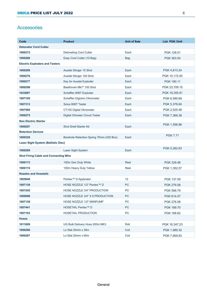## **Accessories**

| Code                                         | <b>Product</b>                           | <b>Unit of Sale</b> | <b>List PGK/Unit</b> |
|----------------------------------------------|------------------------------------------|---------------------|----------------------|
| <b>Detonator Cord Cutter</b>                 |                                          |                     |                      |
| 1000272                                      | <b>Detonating Cord Cutter</b>            | Each                | PGK 128.01           |
| 1000280                                      | Easy Cord Cutter (10 Bag)                | <b>Bag</b>          | PGK 363.54           |
| <b>Electric Exploders and Testers</b>        |                                          |                     |                      |
| 1000299                                      | Ausdet Stinger 10 Shot                   | Each                | PGK 4,613.24         |
| 1000276                                      | Ausdet Stinger 100 Shot                  | Each                | PGK 10,172.55        |
| 1000277                                      | Key for Ausdet Exploder                  | Each                | PGK 190.11           |
| 1000298                                      | Beethoven Mk7* 100 Shot                  | Each                | PGK 23,709.15        |
| 1033897                                      | Schaffler 808T Exploder                  | Each                | PGK 19,355.81        |
| 1007105                                      | Schaffler Digiohm Ohmmeter               | Each                | PGK 6,590.69         |
| 1007313                                      | Solus 808T Tester                        | Each                | PGK 5,376.64         |
| 1007500                                      | CT100 Digital Ohmmeter                   | Each                | PGK 2,525.48         |
| 1000275                                      | <b>Digital Ohmeter Circuit Tester</b>    | Each                | PGK 7,368.38         |
| <b>Non Electric Starter</b>                  |                                          |                     |                      |
| 1000297                                      | <b>Shot Shell Starter Kit</b>            | Each                | PGK 1,556.86         |
| <b>Retention Devices</b>                     |                                          |                     |                      |
| 1000329                                      | Borehole Retention Spring 75mm (420 Box) | Each                | <b>PGK 7.71</b>      |
| <b>Laser Sight System (Ballistic Disc)</b>   |                                          |                     |                      |
| 1000289                                      | Laser Sight System                       | Each                | PGK 5,282.63         |
| <b>Shot Firing Cable and Connecting Wire</b> |                                          |                     |                      |
| 1000173                                      | 100m Gen Duty White                      | Reel                | PGK 329.48           |
| 1000174                                      | 100m Heavy Duty Yellow                   | Reel                | PGK 1,352.57         |
| <b>Nozzles and Hosetails</b>                 |                                          |                     |                      |
| 1005648                                      | Pentex <sup>™</sup> D Applicator         | 12                  | PGK 137.59           |
| 1007139                                      | HOSE NOZZLE 1/2" Pentex™ D               | <b>PC</b>           | PGK 276.08           |
| 1007245                                      | <b>HOSE NOZZLE 3/4" PRODUCTION</b>       | PC                  | PGK 568.79           |
| 1000098                                      | HOSE NOZZLE 3/4" X 8 PRODUCTION          | PC                  | PGK 614.07           |
| 1007138                                      | HOSE NOZZLE 1/2" MINIPUMP                | PC                  | PGK 276.08           |
| 1007441                                      | HOSETAIL Pentex™ D                       | <b>PC</b>           | PGK 189.70           |
| 1007103                                      | <b>HOSETAIL PRODUCTION</b>               | PC                  | PGK 168.62           |
| <b>Hoses</b>                                 |                                          |                     |                      |
| 1011609                                      | UG Bulk Delivery Hose 200m MK3           | Roll                | PGK 16,347.23        |
| 1000286                                      | Lo Stat 20mm x 30m                       | Coil                | PGK 1,989.32         |
| 1000287                                      | Lo Stat 25mm x 60m                       | Coil                | PGK 7,669.83         |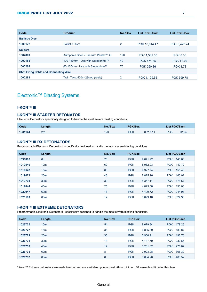| Code                                         | <b>Product</b>                       | No./Box | <b>List PGK/Unit</b> | List PGK /Box    |
|----------------------------------------------|--------------------------------------|---------|----------------------|------------------|
| <b>Ballistic Disc</b>                        |                                      |         |                      |                  |
| 1000172                                      | <b>Ballistic Discs</b>               | 2       | PGK 10.844.47        | PGK 5.422.24     |
| <b>Spiders</b>                               |                                      |         |                      |                  |
| 1007869                                      | Autoprime Shell - Use with Pentex™ G | 190     | PGK 1.582.05         | <b>PGK 8.33</b>  |
| 1000185                                      | 100-160mm - Use with Stopeprime™     | 40      | PGK 471.65           | <b>PGK 11.79</b> |
| 1000268                                      | 60-100mm - Use with Stopeprime™      | 70      | PGK 260.86           | <b>PGK 3.73</b>  |
| <b>Shot Firing Cable and Connecting Wire</b> |                                      |         |                      |                  |
| 1000288                                      | Twin Twist 500m-23swg (reels)        | 2       | PGK 1.199.55         | PGK 599.78       |

# Electronic™ Blasting Systems

#### **I-KON™ III**

#### **I-KON™ III STARTER DETONATOR**

Electronic Detonator - specifically designed to handle the most severe blasting conditions.

| Code    | Length | No./Box | <b>PGK/Box</b> |          | <b>List PGK/Each</b> |       |
|---------|--------|---------|----------------|----------|----------------------|-------|
| 1031144 | 2m     | 120     | <b>PGK</b>     | 8.717.11 | <b>PGK</b>           | 72.64 |

## **I-KON™ III RX DETONATORS**

Programmable Electronic Detonators - specifically designed to handle the most severe blasting conditions.

| Code    | Length          | No./Box | <b>PGK/Box</b>         | <b>List PGK/Each</b> |
|---------|-----------------|---------|------------------------|----------------------|
| 1031885 | 6 <sub>m</sub>  | 70      | <b>PGK</b><br>9.841.92 | 140.60<br><b>PGK</b> |
| 1019540 | 10 <sub>m</sub> | 60      | <b>PGK</b><br>8,982.93 | 149.72<br><b>PGK</b> |
| 1019542 | 15 <sub>m</sub> | 60      | <b>PGK</b><br>9,327.74 | 155.46<br><b>PGK</b> |
| 1019673 | 20 <sub>m</sub> | 48      | <b>PGK</b><br>7,825.16 | 163.02<br><b>PGK</b> |
| 1019798 | 30 <sub>m</sub> | 30      | <b>PGK</b><br>5,357.11 | 178.57<br><b>PGK</b> |
| 1019844 | 40 <sub>m</sub> | 25      | <b>PGK</b><br>4.825.08 | 193.00<br><b>PGK</b> |
| 1020047 | 60 <sub>m</sub> | 18      | <b>PGK</b><br>4.409.72 | PGK 244.98           |
| 1020199 | 80 <sub>m</sub> | 12      | <b>PGK</b><br>3.899.18 | PGK 324.93           |

#### **I-KON™ III EXTREME DETONATORS**

Programmable Electronic Detonators - specifically designed to handle the most severe blasting conditions.

| Code    | Length          | No./Box | <b>PGK/Box</b> |          |            | <b>List PGK/Each</b> |
|---------|-----------------|---------|----------------|----------|------------|----------------------|
| 1026725 | 10 <sub>m</sub> | 54      | <b>PGK</b>     | 9,679.84 | <b>PGK</b> | 179.26               |
| 1026727 | 15 <sub>m</sub> | 36      | <b>PGK</b>     | 6,835.39 | <b>PGK</b> | 189.87               |
| 1026729 | 20 <sub>m</sub> | 30      | <b>PGK</b>     | 5,960.91 | <b>PGK</b> | 198.70               |
| 1026731 | 30 <sub>m</sub> | 18      | <b>PGK</b>     | 4.187.79 | <b>PGK</b> | 232.66               |
| 1026733 | 40 <sub>m</sub> | 12      | <b>PGK</b>     | 3,261.82 | <b>PGK</b> | 271.82               |
| 1026735 | 60 <sub>m</sub> | 8       | <b>PGK</b>     | 2,923.08 | <b>PGK</b> | 365.39               |
| 1026737 | 80 <sub>m</sub> | 8       | <b>PGK</b>     | 3,684.20 | <b>PGK</b> | 460.52               |
|         |                 |         |                |          |            |                      |

\* i-kon™ Extreme detonators are made to order and are available upon request. Allow minimum 16 weeks lead time for this item.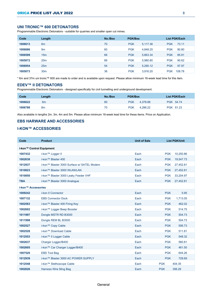## **UNI TRONIC™ 600 DETONATORS**

Programmable Electronic Detonators - suitable for quarries and smaller open cut mines.

| Code    | Length          | No./Box | <b>PGK/Box</b> |          |            | <b>List PGK/Each</b> |
|---------|-----------------|---------|----------------|----------|------------|----------------------|
| 1006613 | 6 <sub>m</sub>  | 70      | <b>PGK</b>     | 5.117.36 | <b>PGK</b> | 73.11                |
| 1006886 | 9 <sub>m</sub>  | 60      | <b>PGK</b>     | 4.848.25 | <b>PGK</b> | 80.80                |
| 1006599 | 15 <sub>m</sub> | 66      | <b>PGK</b>     | 5.663.34 | <b>PGK</b> | 85.81                |
| 1005072 | 20 <sub>m</sub> | 66      | <b>PGK</b>     | 5.980.80 | <b>PGK</b> | 90.62                |
| 1006954 | 25m             | 54      | <b>PGK</b>     | 5.290.12 | <b>PGK</b> | 97.97                |
| 1005073 | 30 <sub>m</sub> | 36      | <b>PGK</b>     | 3.916.20 | <b>PGK</b> | 108.78               |

\* 6m and 37m uni tronic™ 600 are made to order and is available upon request. Please allow minimum 16-week lead time for this item.

#### **EDEV™ II DETONATORS**

Programmable Electronic Detonators - designed specifically for civil tunnelling and underground development.

| Code    | ∟ength | No./Box | <b>PGK/Box</b>         | List PGK/Each |
|---------|--------|---------|------------------------|---------------|
| 1006622 | 6m     | 80      | <b>PGK</b><br>4.378.88 | PGK 54.74     |
| 1006788 | 8m     | 70      | <b>PGK</b><br>4.286.22 | PGK 61.23     |

Also available in lengths 2m, 3m, 4m and 5m. Please allow minimum 16-week lead time for these items. Price on Application.

## **EBS HARWARE AND ACCESSORIES**

## **I-KON™ ACCESSORIES**

| Code                     | <b>Product</b>                             | <b>Unit of Sale</b> |            | <b>List PGK/Unit</b> |
|--------------------------|--------------------------------------------|---------------------|------------|----------------------|
| i-kon™ Control Equipment |                                            |                     |            |                      |
| 1007432                  | i-kon™ Logger II                           | Each                | <b>PGK</b> | 10,250.86            |
| 1002638                  | i-kon™ Blaster 400                         | Each                | <b>PGK</b> | 19,547.73            |
| 1012937                  | i-kon™ Blaster 3000 Surface w/ SATEL Modem | Each                | <b>PGK</b> | 27,452.81            |
| 1010823                  | i-kon™ Blaster 3000 WLAN/LAN               | Each                | <b>PGK</b> | 27,452.81            |
| 1010850                  | i-kon™ Blaster 3000 Leaky Feeder VHF       | Each                | <b>PGK</b> | 33,204.97            |
| <b>TBA</b>               | i-kon™ Blaster 3000 Analogue               | Each                | <b>PGK</b> | 27,452.81            |
| i-kon™ Accessories       |                                            |                     |            |                      |
| 1009242                  | i-kon II Connector                         | Each                | <b>PGK</b> | 5.95                 |
| 1007132                  | <b>EBS Connector Dock</b>                  | Each                | <b>PGK</b> | 1,713.05             |
| 1002583                  | i-kon™ Blaster 400 Firing Key              | Each                | <b>PGK</b> | 462.02               |
| 1002602                  | i-kon™ Logger Beep Booster                 | Each                | <b>PGK</b> | 514.75               |
| 1011997                  | Dongle MSTR RD B3000                       | Each                | <b>PGK</b> | 504.73               |
| 1011998                  | Dongle REM BL B3000                        | Each                | <b>PGK</b> | 504.73               |
| 1002527                  | i-kon™ Copy Cable                          | Each                | <b>PGK</b> | 506.73               |
| 1002528                  | i-kon™ Download Cable                      | Each                | <b>PGK</b> | 511.81               |
| 1012553                  | i-kon™ II Logger Cable                     | Each                | <b>PGK</b> | 548.32               |
| 1002637                  | Charger Logger/B400                        | Each                | <b>PGK</b> | 560.81               |
| 1002605                  | i-kon™ Car Charger Logger/B400             | Each                | <b>PGK</b> | 461.50               |
| 1007520                  | <b>EBS Tool Bag</b>                        | Each                | <b>PGK</b> | 644.26               |
| 1012939                  | i-kon™ Blaster 3000 AC POWER SUPPLY        | Each                | <b>PGK</b> | 728.69               |
| 1012548                  | i-kon™ Stethoscope Cable                   | Each                | <b>PGK</b> | 404.35               |
| 1002626                  | Harness Wire Sling Bag                     | Each                | <b>PGK</b> | 356.29               |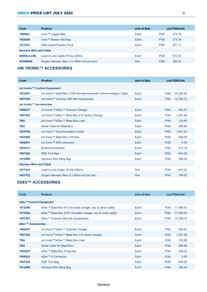## ORICA PRICE LIST JULY 2022 9

| Code                          | <b>Product</b>                              | <b>Unit of Sale</b> |            | <b>List PGK/Unit</b> |
|-------------------------------|---------------------------------------------|---------------------|------------|----------------------|
| 1002601                       | i-kon™ Logger Bag                           | Each                | <b>PGK</b> | 273.78               |
| 1002600                       | i-kon™ Blaster 400 Bag                      | Each                | <b>PGK</b> | 273.78               |
| 1012547                       | <b>EBS Hybrid Practice Puck</b>             | Each                | <b>PGK</b> | 261.17               |
| <b>Harness Wire and Cable</b> |                                             |                     |            |                      |
| <b>XEBSLILCBL</b>             | Lead-in-Line Cable-18 Ga (250m)             | Each                | <b>PGK</b> | 610.33               |
| <b>XDHW400</b>                | Duplex Harness Wire (2 x 400m roll per box) | Roll                | <b>PGK</b> | 784.25               |

## **UNI TRONIC™ ACCESSORIES**

| Code                          | <b>Product</b>                                                  | <b>Unit of Sale</b> | <b>List PGK/Unit</b>    |  |
|-------------------------------|-----------------------------------------------------------------|---------------------|-------------------------|--|
|                               |                                                                 |                     |                         |  |
|                               | uni tronic™ Control Equipment                                   |                     |                         |  |
| 1023507                       | uni tronic™ Blast Box 310R+remote+bluetooth comms+Adaptor Cable | Each                | <b>PGK</b><br>24,228.46 |  |
| 1007025                       | uni tronic™ Scanner 200 with Accessories                        | Each                | <b>PGK</b><br>13,759.72 |  |
| uni tronic™ Accessories       |                                                                 |                     |                         |  |
| 1002637                       | uni tronic™/eDev™ Scanner Charger                               | Each                | <b>PGK</b><br>560.81    |  |
| 1007302                       | uni tronic™/eDev™ Blast Box 310 Series Charger                  | Each                | <b>PGK</b><br>1,261.58  |  |
| <b>TBA</b>                    | uni tronic™/eDev™ Blast Box Load                                | Each                | <b>PGK</b><br>316.89    |  |
| <b>TBA</b>                    | Serial Cable for Blast Box                                      | Each                | <b>PGK</b><br>508.86    |  |
| 1024700                       | uni tronic™ Synchronisation Cable                               | Each                | <b>PGK</b><br>1,821.54  |  |
| 1023506                       | uni tronic™ Blast Box 310 Key                                   | Each                | 549.30<br><b>PGK</b>    |  |
| 1009241                       | uni tronic™ 600 Connector                                       | Each                | <b>PGK</b><br>5.95      |  |
| 1024313                       | Antenna Extension                                               | Each                | <b>PGK</b><br>312.15    |  |
| 1007520                       | <b>EBS Tool Bag</b>                                             | Each                | <b>PGK</b><br>644.26    |  |
| 1012568                       | <b>Harness Wire Sling Bag</b>                                   | Each                | <b>PGK</b><br>356.29    |  |
| <b>Harness Wire and Cable</b> |                                                                 |                     |                         |  |
| 1017914                       | Lead-in-Line Cable-18 Ga (250m)                                 | Roll                | <b>PGK</b><br>610.33    |  |
| 1007033                       | Duplex Harness Wire (2 x 400m roll per box)                     | Roll                | 784.25<br><b>PGK</b>    |  |

## **EDEV™ ACCESSORIES**

| Code                   | <b>Product</b>                                              | <b>Unit of Sale</b> | <b>List PGK/Unit</b>    |
|------------------------|-------------------------------------------------------------|---------------------|-------------------------|
|                        |                                                             |                     |                         |
| eDev™Control Equipment |                                                             |                     |                         |
| 1012508                | eDev™ Blast Box 610 (includes charger, key & serial cable)  | Each                | <b>PGK</b><br>17,056.50 |
| 1013028                | eDev™ Blast Box 610C (includes charger, key & serial cable) | Each                | <b>PGK</b><br>17,056.50 |
| 1007023                | eDev™ Scanner 260 with Accessories                          | Each                | <b>PGK</b><br>13,759.72 |
| eDev™ Accessories      |                                                             |                     |                         |
| 1002637                | uni tronic™/eDev™ Scanner Charger                           | Each                | <b>PGK</b><br>560.81    |
| 1007302                | uni tronic™/eDev™ Blast Box 310 series charger              | Each                | <b>PGK</b><br>1,261.58  |
| <b>TBA</b>             | uni tronic™/eDev™ Blast Box Load                            | Each                | <b>PGK</b><br>316.89    |
| <b>TBA</b>             | Serial Cable for Blast Box                                  | Each                | <b>PGK</b><br>508.86    |
| 1023824                | eDev™ Blast Box Firing Key                                  | Each                | <b>PGK</b><br>548.32    |
| 1009243                | eDev™ II Connector                                          | Each                | <b>PGK</b><br>5.95      |
| 1007520                | <b>EBS Tool Bag</b>                                         | Each                | <b>PGK</b><br>644.26    |
| 1012568                | Harness Wire Sling Bag                                      | Each                | <b>PGK</b><br>356.29    |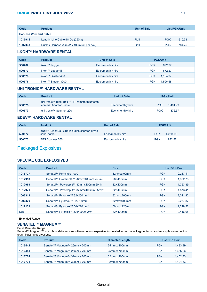| Code                          | <b>Product</b>                              | <b>Unit of Sale</b> | <b>List PGK/Unit</b> |        |
|-------------------------------|---------------------------------------------|---------------------|----------------------|--------|
| <b>Harness Wire and Cable</b> |                                             |                     |                      |        |
| 1017914                       | Lead-in-Line Cable-18 Ga (250m)             | Roll                | <b>PGK</b>           | 610.33 |
| 1007033                       | Duplex Harness Wire (2 x 400m roll per box) | Roll                | <b>PGK</b>           | 784.25 |

## **I-KON™ HARDWARE RENTAL**

| Code   | <b>Product</b>      | <b>Unit of Sale</b> | <b>PGK/Unit</b>        |
|--------|---------------------|---------------------|------------------------|
| 500762 | i-kon™ Logger       | Each/monthly hire   | <b>PGK</b><br>672.27   |
| 500577 | i-kon™ Logger II    | Each/monthly hire   | <b>PGK</b><br>672.27   |
| 500578 | i-kon™ Blaster 400  | Each/monthly hire   | <b>PGK</b><br>1.164.97 |
| 500576 | i-kon™ Blaster 3000 | Each/monthly hire   | <b>PGK</b><br>1.596.58 |

#### **UNI TRONIC™ HARDWARE RENTAL**

| Code   | <b>Product</b>                                                     | <b>Unit of Sale</b> | <b>PGK/Unit</b>        |
|--------|--------------------------------------------------------------------|---------------------|------------------------|
| 500575 | uni tronic™ Blast Box 310R+remote+bluetooth<br>comms+Adaptor Cable | Each/monthly hire   | 1.461.99<br><b>PGK</b> |
| 500573 | uni tronic™ Scanner 200                                            | Each/monthly hire   | <b>PGK</b><br>872.57   |

## **EDEV™ HARDWARE RENTAL**

| Code   | <b>Product</b>                                                | <b>Unit of Sale</b> | <b>PGK/Unit</b>        |
|--------|---------------------------------------------------------------|---------------------|------------------------|
| 500572 | eDev™ Blast Box 610 (includes charger, key &<br>serial cable) | Each/monthly hire   | <b>PGK</b><br>1.069.18 |
| 500573 | EBS Scanner 260                                               | Each/monthly hire   | <b>PGK</b><br>872.57   |

# Packaged Explosives

## **SPECIAL USE EXPLOSIVES**

| Code    | <b>Product</b>                                      | <b>Size</b> | <b>List PGK/Box</b> |          |
|---------|-----------------------------------------------------|-------------|---------------------|----------|
| 1016727 | Senatel™ Permitted 1000                             | 32mmx400mm  | <b>PGK</b>          | 2.247.11 |
| 1012959 | Senatel™ Powersplit™ 26mmx400mm 25.2m               | 26X400mm    | <b>PGK</b>          | 1.302.73 |
| 1012969 | Senatel™ Powersplit™ 32mmx400mm 20.1m               | 32X400mm    | <b>PGK</b>          | 1.353.39 |
| 1012970 | Senatel™ Powersplit™ 32mmx400mm 25.2m*              | 32X400mm    | <b>PGK</b>          | 1.573.41 |
| 1006319 | Senatel™ Pyromex <sup>™</sup> 32x200mm*             | 32mmx200mm  | <b>PGK</b>          | 2.321.92 |
| 1006320 | Senatel™ Pyromex™ 32x700mm*                         | 32mmx700mm  | <b>PGK</b>          | 2.267.87 |
| 1017131 | Senatel™ Pyromex <sup>™</sup> 50x220mm <sup>*</sup> | 50mmx220m   | <b>PGK</b>          | 2.248.22 |
| N/A     | Senatel™ Pyrosplit™ 32x400 25.2m*                   | 32X400mm    | <b>PGK</b>          | 2.416.05 |

\* Extended Range

#### **SENATEL™ MAGNUM™**

Small Diameter Range.

Senatel™ Magnum™ is a robust detonator sensitive emulsion explosive formulated to maximise fragmentation and muckpile movement in tough blasting applications.

| Code    | <b>Product</b>                | Diameter/Length    | <b>List PGK/Box</b> |          |
|---------|-------------------------------|--------------------|---------------------|----------|
| 1016442 | Senatel™ Magnum™ 25mm x 200mm | 25mm x 200mm       | <b>PGK</b>          | 1.493.89 |
| 1016441 | Senatel™ Magnum™ 25mm x 700mm | 25mm x 700mm       | <b>PGK</b>          | 1.465.26 |
| 1016724 | Senatel™ Magnum™ 32mm x 200mm | $32$ mm x $200$ mm | <b>PGK</b>          | 1.452.83 |
| 1016731 | Senatel™ Magnum™ 32mm x 700mm | 32mm x 700mm       | <b>PGK</b>          | 1.424.53 |